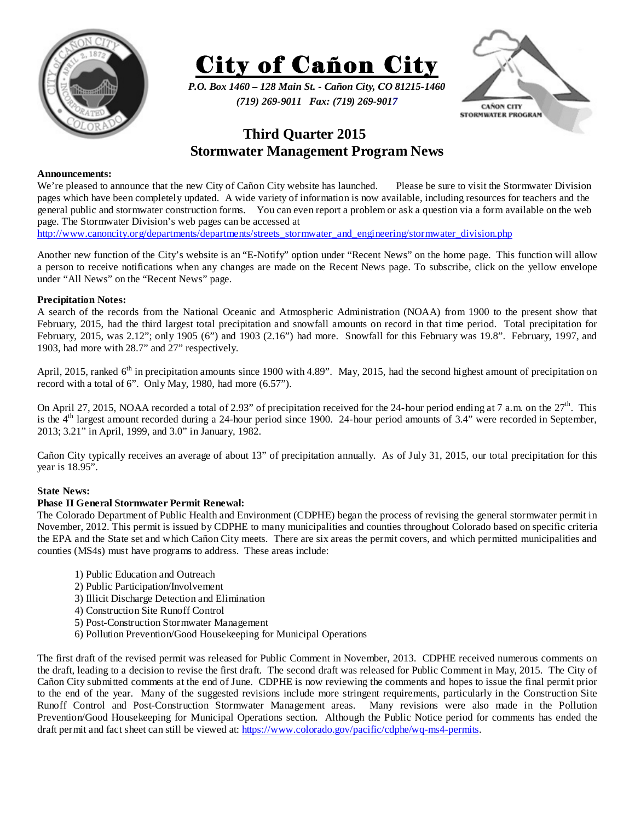



*P.O. Box 1460 – 128 Main St. - Cañon City, CO 81215-1460 (719) 269-9011 Fax: (719) 269-9017* 



# **Third Quarter 2015 Stormwater Management Program News**

#### **Announcements:**

We're pleased to announce that the new City of Cañon City website has launched. Please be sure to visit the Stormwater Division pages which have been completely updated. A wide variety of information is now available, including resources for teachers and the general public and stormwater construction forms. You can even report a problem or ask a question via a form available on the web page. The Stormwater Division's web pages can be accessed at

http://www.canoncity.org/departments/departments/streets\_stormwater\_and\_engineering/stormwater\_division.php

Another new function of the City's website is an "E-Notify" option under "Recent News" on the home page. This function will allow a person to receive notifications when any changes are made on the Recent News page. To subscribe, click on the yellow envelope under "All News" on the "Recent News" page.

## **Precipitation Notes:**

A search of the records from the National Oceanic and Atmospheric Administration (NOAA) from 1900 to the present show that February, 2015, had the third largest total precipitation and snowfall amounts on record in that time period. Total precipitation for February, 2015, was 2.12"; only 1905 (6") and 1903 (2.16") had more. Snowfall for this February was 19.8". February, 1997, and 1903, had more with 28.7" and 27" respectively.

April, 2015, ranked 6<sup>th</sup> in precipitation amounts since 1900 with 4.89". May, 2015, had the second highest amount of precipitation on record with a total of 6". Only May, 1980, had more (6.57").

On April 27, 2015, NOAA recorded a total of 2.93" of precipitation received for the 24-hour period ending at 7 a.m. on the  $27<sup>th</sup>$ . This is the  $4<sup>th</sup>$  largest amount recorded during a 24-hour period since 1900. 24-hour period amounts of 3.4" were recorded in September, 2013; 3.21" in April, 1999, and 3.0" in January, 1982.

Cañon City typically receives an average of about 13" of precipitation annually. As of July 31, 2015, our total precipitation for this year is 18.95".

#### **State News:**

## **Phase II General Stormwater Permit Renewal:**

The Colorado Department of Public Health and Environment (CDPHE) began the process of revising the general stormwater permit in November, 2012. This permit is issued by CDPHE to many municipalities and counties throughout Colorado based on specific criteria the EPA and the State set and which Cañon City meets. There are six areas the permit covers, and which permitted municipalities and counties (MS4s) must have programs to address. These areas include:

- 1) Public Education and Outreach
- 2) Public Participation/Involvement
- 3) Illicit Discharge Detection and Elimination
- 4) Construction Site Runoff Control
- 5) Post-Construction Stormwater Management
- 6) Pollution Prevention/Good Housekeeping for Municipal Operations

The first draft of the revised permit was released for Public Comment in November, 2013. CDPHE received numerous comments on the draft, leading to a decision to revise the first draft. The second draft was released for Public Comment in May, 2015. The City of Cañon City submitted comments at the end of June. CDPHE is now reviewing the comments and hopes to issue the final permit prior to the end of the year. Many of the suggested revisions include more stringent requirements, particularly in the Construction Site Runoff Control and Post-Construction Stormwater Management areas. Many revisions were also made in the Pollution Prevention/Good Housekeeping for Municipal Operations section. Although the Public Notice period for comments has ended the draft permit and fact sheet can still be viewed at: https://www.colorado.gov/pacific/cdphe/wq-ms4-permits.